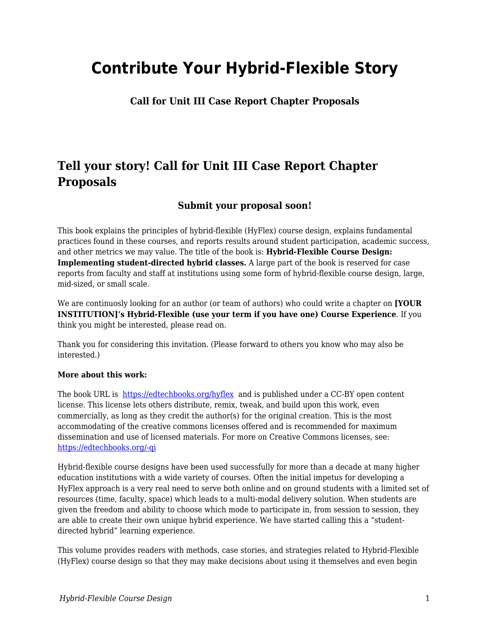## **Contribute Your Hybrid-Flexible Story**

**Call for Unit III Case Report Chapter Proposals**

## **Tell your story! Call for Unit III Case Report Chapter Proposals**

## **Submit your proposal soon!**

This book explains the principles of hybrid-flexible (HyFlex) course design, explains fundamental practices found in these courses, and reports results around student participation, academic success, and other metrics we may value. The title of the book is: **Hybrid-Flexible Course Design: Implementing student-directed hybrid classes.** A large part of the book is reserved for case reports from faculty and staff at institutions using some form of hybrid-flexible course design, large, mid-sized, or small scale.

We are continuosly looking for an author (or team of authors) who could write a chapter on **[YOUR INSTITUTION]'s Hybrid-Flexible (use your term if you have one) Course Experience**. If you think you might be interested, please read on.

Thank you for considering this invitation. (Please forward to others you know who may also be interested.)

## **More about this work:**

The book URL is <https://edtechbooks.org/hyflex> and is published under a CC-BY open content license. This license lets others distribute, remix, tweak, and build upon this work, even commercially, as long as they credit the author(s) for the original creation. This is the most accommodating of the creative commons licenses offered and is recommended for maximum dissemination and use of licensed materials. For more on Creative Commons licenses, see: [https://edtechbooks.org/-qi](https://creativecommons.org/licenses/)

Hybrid-flexible course designs have been used successfully for more than a decade at many higher education institutions with a wide variety of courses. Often the initial impetus for developing a HyFlex approach is a very real need to serve both online and on ground students with a limited set of resources (time, faculty, space) which leads to a multi-modal delivery solution. When students are given the freedom and ability to choose which mode to participate in, from session to session, they are able to create their own unique hybrid experience. We have started calling this a "studentdirected hybrid" learning experience.

This volume provides readers with methods, case stories, and strategies related to Hybrid-Flexible (HyFlex) course design so that they may make decisions about using it themselves and even begin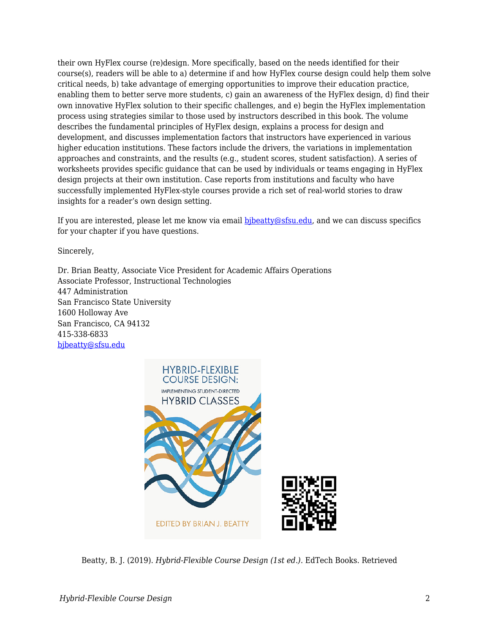their own HyFlex course (re)design. More specifically, based on the needs identified for their course(s), readers will be able to a) determine if and how HyFlex course design could help them solve critical needs, b) take advantage of emerging opportunities to improve their education practice, enabling them to better serve more students, c) gain an awareness of the HyFlex design, d) find their own innovative HyFlex solution to their specific challenges, and e) begin the HyFlex implementation process using strategies similar to those used by instructors described in this book. The volume describes the fundamental principles of HyFlex design, explains a process for design and development, and discusses implementation factors that instructors have experienced in various higher education institutions. These factors include the drivers, the variations in implementation approaches and constraints, and the results (e.g., student scores, student satisfaction). A series of worksheets provides specific guidance that can be used by individuals or teams engaging in HyFlex design projects at their own institution. Case reports from institutions and faculty who have successfully implemented HyFlex-style courses provide a rich set of real-world stories to draw insights for a reader's own design setting.

If you are interested, please let me know via email bibeatty@sfsu.edu, and we can discuss specifics for your chapter if you have questions.

Sincerely,

Dr. Brian Beatty, Associate Vice President for Academic Affairs Operations Associate Professor, Instructional Technologies 447 Administration San Francisco State University 1600 Holloway Ave San Francisco, CA 94132 415-338-6833 [bjbeatty@sfsu.edu](mailto:bjbeatty@sfsu.edu)



Beatty, B. J. (2019). *Hybrid-Flexible Course Design (1st ed.)*. EdTech Books. Retrieved